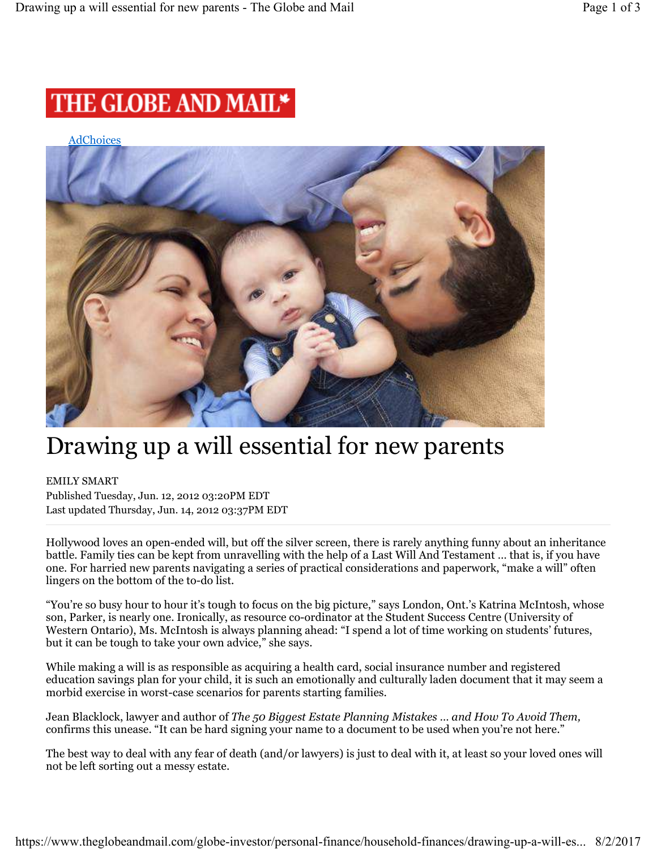# THE GLOBE AND MAIL\*

### **AdChoices**



## Drawing up a will essential for new parents

## EMILY SMART

Published Tuesday, Jun. 12, 2012 03:20PM EDT Last updated Thursday, Jun. 14, 2012 03:37PM EDT

Hollywood loves an open-ended will, but off the silver screen, there is rarely anything funny about an inheritance battle. Family ties can be kept from unravelling with the help of a Last Will And Testament … that is, if you have one. For harried new parents navigating a series of practical considerations and paperwork, "make a will" often lingers on the bottom of the to-do list.

"You're so busy hour to hour it's tough to focus on the big picture," says London, Ont.'s Katrina McIntosh, whose son, Parker, is nearly one. Ironically, as resource co-ordinator at the Student Success Centre (University of Western Ontario), Ms. McIntosh is always planning ahead: "I spend a lot of time working on students' futures, but it can be tough to take your own advice," she says.

While making a will is as responsible as acquiring a health card, social insurance number and registered education savings plan for your child, it is such an emotionally and culturally laden document that it may seem a morbid exercise in worst-case scenarios for parents starting families.

Jean Blacklock, lawyer and author of *The 50 Biggest Estate Planning Mistakes … and How To Avoid Them,* confirms this unease. "It can be hard signing your name to a document to be used when you're not here."

The best way to deal with any fear of death (and/or lawyers) is just to deal with it, at least so your loved ones will not be left sorting out a messy estate.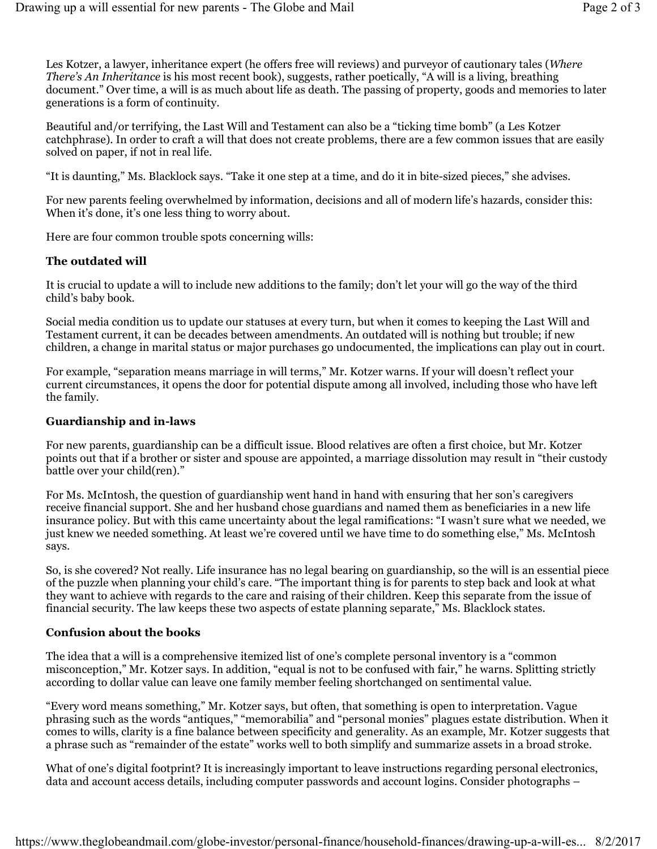Les Kotzer, a lawyer, inheritance expert (he offers free will reviews) and purveyor of cautionary tales (*Where There's An Inheritance* is his most recent book), suggests, rather poetically, "A will is a living, breathing document." Over time, a will is as much about life as death. The passing of property, goods and memories to later generations is a form of continuity.

Beautiful and/or terrifying, the Last Will and Testament can also be a "ticking time bomb" (a Les Kotzer catchphrase). In order to craft a will that does not create problems, there are a few common issues that are easily solved on paper, if not in real life.

"It is daunting," Ms. Blacklock says. "Take it one step at a time, and do it in bite-sized pieces," she advises.

For new parents feeling overwhelmed by information, decisions and all of modern life's hazards, consider this: When it's done, it's one less thing to worry about.

Here are four common trouble spots concerning wills:

#### **The outdated will**

It is crucial to update a will to include new additions to the family; don't let your will go the way of the third child's baby book.

Social media condition us to update our statuses at every turn, but when it comes to keeping the Last Will and Testament current, it can be decades between amendments. An outdated will is nothing but trouble; if new children, a change in marital status or major purchases go undocumented, the implications can play out in court.

For example, "separation means marriage in will terms," Mr. Kotzer warns. If your will doesn't reflect your current circumstances, it opens the door for potential dispute among all involved, including those who have left the family.

#### **Guardianship and in-laws**

For new parents, guardianship can be a difficult issue. Blood relatives are often a first choice, but Mr. Kotzer points out that if a brother or sister and spouse are appointed, a marriage dissolution may result in "their custody battle over your child(ren)."

For Ms. McIntosh, the question of guardianship went hand in hand with ensuring that her son's caregivers receive financial support. She and her husband chose guardians and named them as beneficiaries in a new life insurance policy. But with this came uncertainty about the legal ramifications: "I wasn't sure what we needed, we just knew we needed something. At least we're covered until we have time to do something else," Ms. McIntosh says.

So, is she covered? Not really. Life insurance has no legal bearing on guardianship, so the will is an essential piece of the puzzle when planning your child's care. "The important thing is for parents to step back and look at what they want to achieve with regards to the care and raising of their children. Keep this separate from the issue of financial security. The law keeps these two aspects of estate planning separate," Ms. Blacklock states.

#### **Confusion about the books**

The idea that a will is a comprehensive itemized list of one's complete personal inventory is a "common misconception," Mr. Kotzer says. In addition, "equal is not to be confused with fair," he warns. Splitting strictly according to dollar value can leave one family member feeling shortchanged on sentimental value.

"Every word means something," Mr. Kotzer says, but often, that something is open to interpretation. Vague phrasing such as the words "antiques," "memorabilia" and "personal monies" plagues estate distribution. When it comes to wills, clarity is a fine balance between specificity and generality. As an example, Mr. Kotzer suggests that a phrase such as "remainder of the estate" works well to both simplify and summarize assets in a broad stroke.

What of one's digital footprint? It is increasingly important to leave instructions regarding personal electronics, data and account access details, including computer passwords and account logins. Consider photographs –